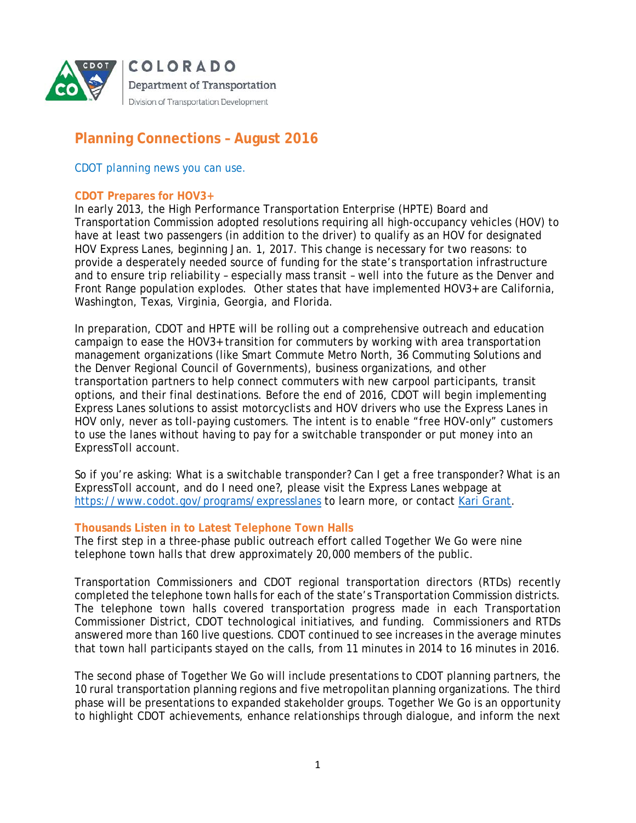

# **Planning Connections – August 2016**

# *CDOT planning news you can use.*

### **CDOT Prepares for HOV3+**

In early 2013, the High Performance Transportation Enterprise (HPTE) Board and Transportation Commission adopted resolutions requiring all high-occupancy vehicles (HOV) to have at least two passengers (in addition to the driver) to qualify as an HOV for designated HOV Express Lanes, beginning Jan. 1, 2017. This change is necessary for two reasons: to provide a desperately needed source of funding for the state's transportation infrastructure and to ensure trip reliability – especially mass transit – well into the future as the Denver and Front Range population explodes. Other states that have implemented HOV3+ are California, Washington, Texas, Virginia, Georgia, and Florida.

In preparation, CDOT and HPTE will be rolling out a comprehensive outreach and education campaign to ease the HOV3+ transition for commuters by working with area transportation management organizations (like Smart Commute Metro North, 36 Commuting Solutions and the Denver Regional Council of Governments), business organizations, and other transportation partners to help connect commuters with new carpool participants, transit options, and their final destinations. Before the end of 2016, CDOT will begin implementing Express Lanes solutions to assist motorcyclists and HOV drivers who use the Express Lanes in HOV only, never as toll-paying customers. The intent is to enable "free HOV-only" customers to use the lanes without having to pay for a switchable transponder or put money into an ExpressToll account.

So if you're asking: What is a switchable transponder? Can I get a free transponder? What is an ExpressToll account, and do I need one?, please visit the Express Lanes webpage at https://www.codot.gov/programs/expresslanes to learn more, or contact Kari Grant.

#### **Thousands Listen in to Latest Telephone Town Halls**

The first step in a three-phase public outreach effort called Together We Go were nine telephone town halls that drew approximately 20,000 members of the public.

Transportation Commissioners and CDOT regional transportation directors (RTDs) recently completed the telephone town halls for each of the state's Transportation Commission districts. The telephone town halls covered transportation progress made in each Transportation Commissioner District, CDOT technological initiatives, and funding. Commissioners and RTDs answered more than 160 live questions. CDOT continued to see increases in the average minutes that town hall participants stayed on the calls, from 11 minutes in 2014 to 16 minutes in 2016.

The second phase of Together We Go will include presentations to CDOT planning partners, the 10 rural transportation planning regions and five metropolitan planning organizations. The third phase will be presentations to expanded stakeholder groups. Together We Go is an opportunity to highlight CDOT achievements, enhance relationships through dialogue, and inform the next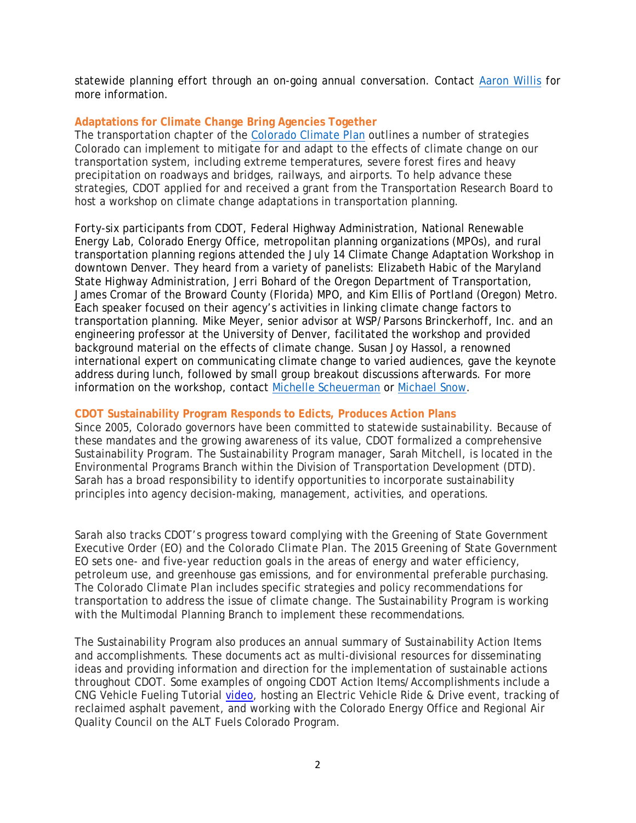statewide planning effort through an on-going annual conversation. Contact Aaron Willis for more information.

# **Adaptations for Climate Change Bring Agencies Together**

The transportation chapter of the Colorado Climate Plan outlines a number of strategies Colorado can implement to mitigate for and adapt to the effects of climate change on our transportation system, including extreme temperatures, severe forest fires and heavy precipitation on roadways and bridges, railways, and airports. To help advance these strategies, CDOT applied for and received a grant from the Transportation Research Board to host a workshop on climate change adaptations in transportation planning.

Forty-six participants from CDOT, Federal Highway Administration, National Renewable Energy Lab, Colorado Energy Office, metropolitan planning organizations (MPOs), and rural transportation planning regions attended the July 14 Climate Change Adaptation Workshop in downtown Denver. They heard from a variety of panelists: Elizabeth Habic of the Maryland State Highway Administration, Jerri Bohard of the Oregon Department of Transportation, James Cromar of the Broward County (Florida) MPO, and Kim Ellis of Portland (Oregon) Metro. Each speaker focused on their agency's activities in linking climate change factors to transportation planning. Mike Meyer, senior advisor at WSP/Parsons Brinckerhoff, Inc. and an engineering professor at the University of Denver, facilitated the workshop and provided background material on the effects of climate change. Susan Joy Hassol, a renowned international expert on communicating climate change to varied audiences, gave the keynote address during lunch, followed by small group breakout discussions afterwards. For more information on the workshop, contact Michelle Scheuerman or Michael Snow.

#### **CDOT Sustainability Program Responds to Edicts, Produces Action Plans**

Since 2005, Colorado governors have been committed to statewide sustainability. Because of these mandates and the growing awareness of its value, CDOT formalized a comprehensive Sustainability Program. The Sustainability Program manager, Sarah Mitchell, is located in the Environmental Programs Branch within the Division of Transportation Development (DTD). Sarah has a broad responsibility to identify opportunities to incorporate sustainability principles into agency decision-making, management, activities, and operations.

Sarah also tracks CDOT's progress toward complying with the Greening of State Government Executive Order (EO) and the *Colorado Climate Plan*. The 2015 Greening of State Government EO sets one- and five-year reduction goals in the areas of energy and water efficiency, petroleum use, and greenhouse gas emissions, and for environmental preferable purchasing. The *Colorado Climate Plan* includes specific strategies and policy recommendations for transportation to address the issue of climate change. The Sustainability Program is working with the Multimodal Planning Branch to implement these recommendations.

The Sustainability Program also produces an annual summary of Sustainability Action Items and accomplishments. These documents act as multi-divisional resources for disseminating ideas and providing information and direction for the implementation of sustainable actions throughout CDOT. Some examples of ongoing CDOT Action Items/Accomplishments include a CNG Vehicle Fueling Tutorial video, hosting an Electric Vehicle Ride & Drive event, tracking of reclaimed asphalt pavement, and working with the Colorado Energy Office and Regional Air Quality Council on the ALT Fuels Colorado Program.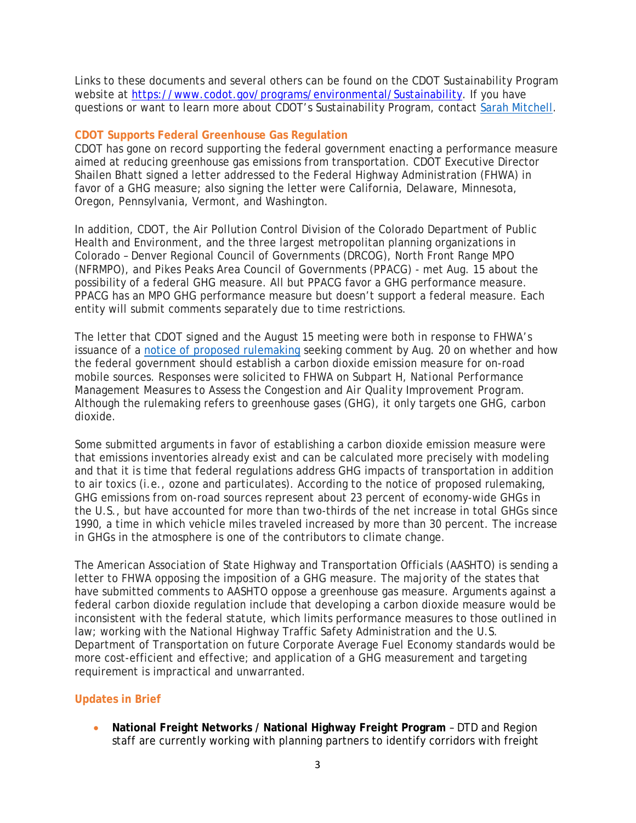Links to these documents and several others can be found on the CDOT Sustainability Program website at https://www.codot.gov/programs/environmental/Sustainability. If you have questions or want to learn more about CDOT's Sustainability Program, contact Sarah Mitchell.

### **CDOT Supports Federal Greenhouse Gas Regulation**

CDOT has gone on record supporting the federal government enacting a performance measure aimed at reducing greenhouse gas emissions from transportation. CDOT Executive Director Shailen Bhatt signed a letter addressed to the Federal Highway Administration (FHWA) in favor of a GHG measure; also signing the letter were California, Delaware, Minnesota, Oregon, Pennsylvania, Vermont, and Washington.

In addition, CDOT, the Air Pollution Control Division of the Colorado Department of Public Health and Environment, and the three largest metropolitan planning organizations in Colorado – Denver Regional Council of Governments (DRCOG), North Front Range MPO (NFRMPO), and Pikes Peaks Area Council of Governments (PPACG) - met Aug. 15 about the possibility of a federal GHG measure. All but PPACG favor a GHG performance measure. PPACG has an MPO GHG performance measure but doesn't support a federal measure. Each entity will submit comments separately due to time restrictions.

The letter that CDOT signed and the August 15 meeting were both in response to FHWA's issuance of a notice of proposed rulemaking seeking comment by Aug. 20 on whether and how the federal government should establish a carbon dioxide emission measure for on-road mobile sources. Responses were solicited to FHWA on Subpart H, *National Performance Management Measures to Assess the Congestion and Air Quality Improvement Program*. Although the rulemaking refers to greenhouse gases (GHG), it only targets one GHG, carbon dioxide.

Some submitted arguments in favor of establishing a carbon dioxide emission measure were that emissions inventories already exist and can be calculated more precisely with modeling and that it is time that federal regulations address GHG impacts of transportation in addition to air toxics (i.e., ozone and particulates). According to the notice of proposed rulemaking, GHG emissions from on-road sources represent about 23 percent of economy-wide GHGs in the U.S., but have accounted for more than two-thirds of the net increase in total GHGs since 1990, a time in which vehicle miles traveled increased by more than 30 percent. The increase in GHGs in the atmosphere is one of the contributors to climate change.

The American Association of State Highway and Transportation Officials (AASHTO) is sending a letter to FHWA opposing the imposition of a GHG measure. The majority of the states that have submitted comments to AASHTO oppose a greenhouse gas measure. Arguments against a federal carbon dioxide regulation include that developing a carbon dioxide measure would be inconsistent with the federal statute, which limits performance measures to those outlined in law; working with the National Highway Traffic Safety Administration and the U.S. Department of Transportation on future Corporate Average Fuel Economy standards would be more cost-efficient and effective; and application of a GHG measurement and targeting requirement is impractical and unwarranted.

# **Updates in Brief**

 **National Freight Networks / National Highway Freight Program** – DTD and Region staff are currently working with planning partners to identify corridors with freight